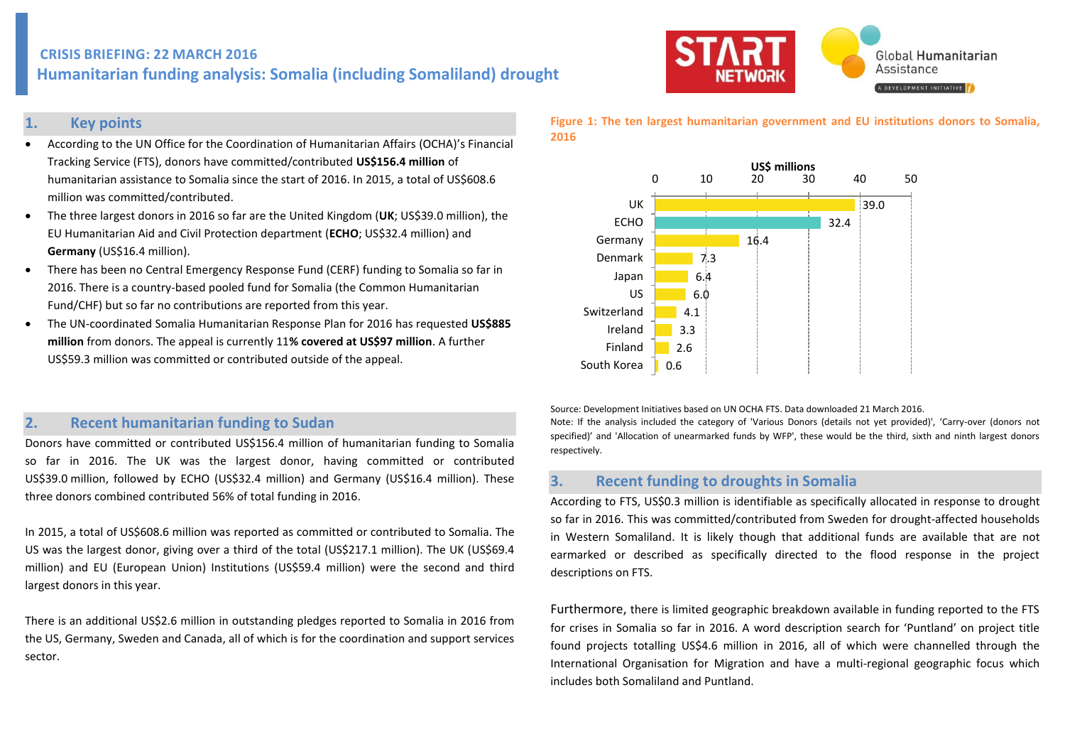# **CRISIS BRIEFING: 22 MARCH 2016 Humanitarian funding analysis: Somalia (including Somaliland) drought**

# **1. Key points**

- According to the UN Office for the Coordination of Humanitarian Affairs (OCHA)'s Financial Tracking Service (FTS), donors have committed/contributed **US\$156.4 million** of humanitarian assistance to Somalia since the start of 2016. In 2015, a total of US\$608.6 million was committed/contributed.
- The three largest donors in 2016 so far are the United Kingdom (**UK**; US\$39.0 million), the EU Humanitarian Aid and Civil Protection department (**ECHO**; US\$32.4 million) and **Germany** (US\$16.4 million).
- There has been no Central Emergency Response Fund (CERF) funding to Somalia so far in 2016. There is a country-based pooled fund for Somalia (the Common Humanitarian Fund/CHF) but so far no contributions are reported from this year.
- The UN-coordinated Somalia Humanitarian Response Plan for 2016 has requested **US\$885 million** from donors. The appeal is currently 11**% covered at US\$97 million**. A further US\$59.3 million was committed or contributed outside of the appeal.

# **2. Recent humanitarian funding to Sudan**

Donors have committed or contributed US\$156.4 million of humanitarian funding to Somalia so far in 2016. The UK was the largest donor, having committed or contributed US\$39.0 million, followed by ECHO (US\$32.4 million) and Germany (US\$16.4 million). These three donors combined contributed 56% of total funding in 2016.

In 2015, a total of US\$608.6 million was reported as committed or contributed to Somalia. The US was the largest donor, giving over a third of the total (US\$217.1 million). The UK (US\$69.4 million) and EU (European Union) Institutions (US\$59.4 million) were the second and third largest donors in this year.

There is an additional US\$2.6 million in outstanding pledges reported to Somalia in 2016 from the US, Germany, Sweden and Canada, all of which is for the coordination and support services sector.



**Figure 1: The ten largest humanitarian government and EU institutions donors to Somalia, 2016**



Source: Development Initiatives based on UN OCHA FTS. Data downloaded 21 March 2016.

Note: If the analysis included the category of 'Various Donors (details not yet provided)', 'Carry-over (donors not specified)' and 'Allocation of unearmarked funds by WFP', these would be the third, sixth and ninth largest donors respectively.

### **3. Recent funding to droughts in Somalia**

According to FTS, US\$0.3 million is identifiable as specifically allocated in response to drought so far in 2016. This was committed/contributed from Sweden for drought-affected households in Western Somaliland. It is likely though that additional funds are available that are not earmarked or described as specifically directed to the flood response in the project descriptions on FTS.

Furthermore, there is limited geographic breakdown available in funding reported to the FTS for crises in Somalia so far in 2016. A word description search for 'Puntland' on project title found projects totalling US\$4.6 million in 2016, all of which were channelled through the International Organisation for Migration and have a multi-regional geographic focus which includes both Somaliland and Puntland.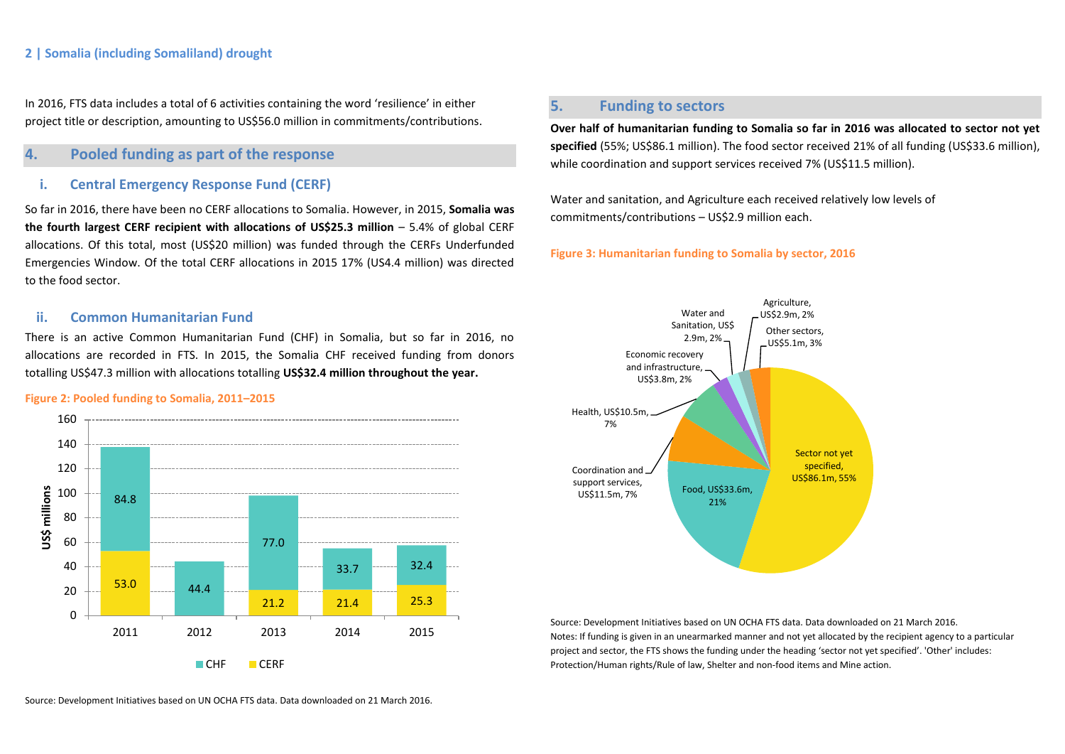### **2 | Somalia (including Somaliland) drought**

In 2016, FTS data includes a total of 6 activities containing the word 'resilience' in either project title or description, amounting to US\$56.0 million in commitments/contributions.

### **4. Pooled funding as part of the response**

### **i. Central Emergency Response Fund (CERF)**

So far in 2016, there have been no CERF allocations to Somalia. However, in 2015, **Somalia was the fourth largest CERF recipient with allocations of US\$25.3 million** – 5.4% of global CERF allocations. Of this total, most (US\$20 million) was funded through the CERFs Underfunded Emergencies Window. Of the total CERF allocations in 2015 17% (US4.4 million) was directed to the food sector.

### **ii. Common Humanitarian Fund**

There is an active Common Humanitarian Fund (CHF) in Somalia, but so far in 2016, no allocations are recorded in FTS. In 2015, the Somalia CHF received funding from donors totalling US\$47.3 million with allocations totalling **US\$32.4 million throughout the year.**

### **Figure 2: Pooled funding to Somalia, 2011–2015**



# **5. Funding to sectors**

**Over half of humanitarian funding to Somalia so far in 2016 was allocated to sector not yet**  specified (55%; US\$86.1 million). The food sector received 21% of all funding (US\$33.6 million), while coordination and support services received 7% (US\$11.5 million).

Water and sanitation, and Agriculture each received relatively low levels of commitments/contributions – US\$2.9 million each.

#### **Figure 3: Humanitarian funding to Somalia by sector, 2016**



Source: Development Initiatives based on UN OCHA FTS data. Data downloaded on 21 March 2016. Notes: If funding is given in an unearmarked manner and not yet allocated by the recipient agency to a particular project and sector, the FTS shows the funding under the heading 'sector not yet specified'. 'Other' includes: Protection/Human rights/Rule of law, Shelter and non-food items and Mine action.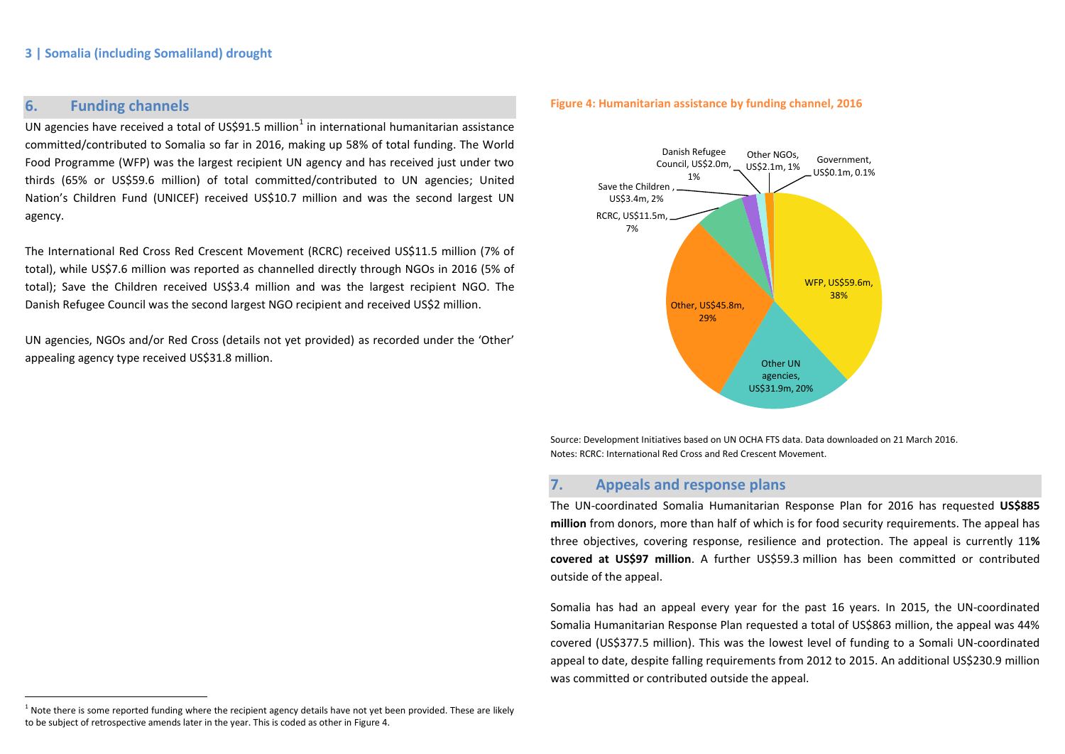# **6. Funding channels**

 $\overline{a}$ 

UN agencies have received a total of US\$91.5 million<sup>1</sup> in international humanitarian assistance committed/contributed to Somalia so far in 2016, making up 58% of total funding. The World Food Programme (WFP) was the largest recipient UN agency and has received just under two thirds (65% or US\$59.6 million) of total committed/contributed to UN agencies; United Nation's Children Fund (UNICEF) received US\$10.7 million and was the second largest UN agency.

The International Red Cross Red Crescent Movement (RCRC) received US\$11.5 million (7% of total), while US\$7.6 million was reported as channelled directly through NGOs in 2016 (5% of total); Save the Children received US\$3.4 million and was the largest recipient NGO. The Danish Refugee Council was the second largest NGO recipient and received US\$2 million.

UN agencies, NGOs and/or Red Cross (details not yet provided) as recorded under the 'Other' appealing agency type received US\$31.8 million.

#### **Figure 4: Humanitarian assistance by funding channel, 2016**



Source: Development Initiatives based on UN OCHA FTS data. Data downloaded on 21 March 2016. Notes: RCRC: International Red Cross and Red Crescent Movement.

## **7. Appeals and response plans**

The UN-coordinated Somalia Humanitarian Response Plan for 2016 has requested **US\$885 million** from donors, more than half of which is for food security requirements. The appeal has three objectives, covering response, resilience and protection. The appeal is currently 11**% covered at US\$97 million**. A further US\$59.3 million has been committed or contributed outside of the appeal.

Somalia has had an appeal every year for the past 16 years. In 2015, the UN-coordinated Somalia Humanitarian Response Plan requested a total of US\$863 million, the appeal was 44% covered (US\$377.5 million). This was the lowest level of funding to a Somali UN-coordinated appeal to date, despite falling requirements from 2012 to 2015. An additional US\$230.9 million was committed or contributed outside the appeal.

 $1$  Note there is some reported funding where the recipient agency details have not yet been provided. These are likely to be subject of retrospective amends later in the year. This is coded as other in Figure 4.